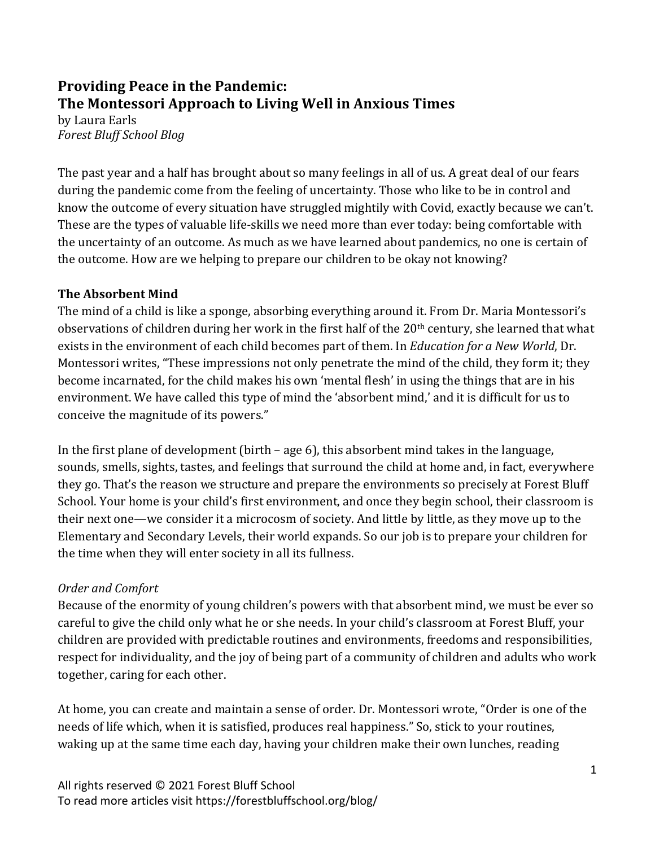# **Providing Peace in the Pandemic:** The Montessori Approach to Living Well in Anxious Times

by Laura Earls *Forest Bluff School Blog*

The past year and a half has brought about so many feelings in all of us. A great deal of our fears during the pandemic come from the feeling of uncertainty. Those who like to be in control and know the outcome of every situation have struggled mightily with Covid, exactly because we can't. These are the types of valuable life-skills we need more than ever today: being comfortable with the uncertainty of an outcome. As much as we have learned about pandemics, no one is certain of the outcome. How are we helping to prepare our children to be okay not knowing?

## **The Absorbent Mind**

The mind of a child is like a sponge, absorbing everything around it. From Dr. Maria Montessori's observations of children during her work in the first half of the 20<sup>th</sup> century, she learned that what exists in the environment of each child becomes part of them. In *Education for a New World*, Dr. Montessori writes, "These impressions not only penetrate the mind of the child, they form it; they become incarnated, for the child makes his own 'mental flesh' in using the things that are in his environment. We have called this type of mind the 'absorbent mind,' and it is difficult for us to conceive the magnitude of its powers."

In the first plane of development (birth – age 6), this absorbent mind takes in the language, sounds, smells, sights, tastes, and feelings that surround the child at home and, in fact, everywhere they go. That's the reason we structure and prepare the environments so precisely at Forest Bluff School. Your home is your child's first environment, and once they begin school, their classroom is their next one—we consider it a microcosm of society. And little by little, as they move up to the Elementary and Secondary Levels, their world expands. So our job is to prepare your children for the time when they will enter society in all its fullness.

# *Order and Comfort*

Because of the enormity of young children's powers with that absorbent mind, we must be ever so careful to give the child only what he or she needs. In your child's classroom at Forest Bluff, your children are provided with predictable routines and environments, freedoms and responsibilities, respect for individuality, and the joy of being part of a community of children and adults who work together, caring for each other.

At home, you can create and maintain a sense of order. Dr. Montessori wrote, "Order is one of the needs of life which, when it is satisfied, produces real happiness." So, stick to your routines, waking up at the same time each day, having your children make their own lunches, reading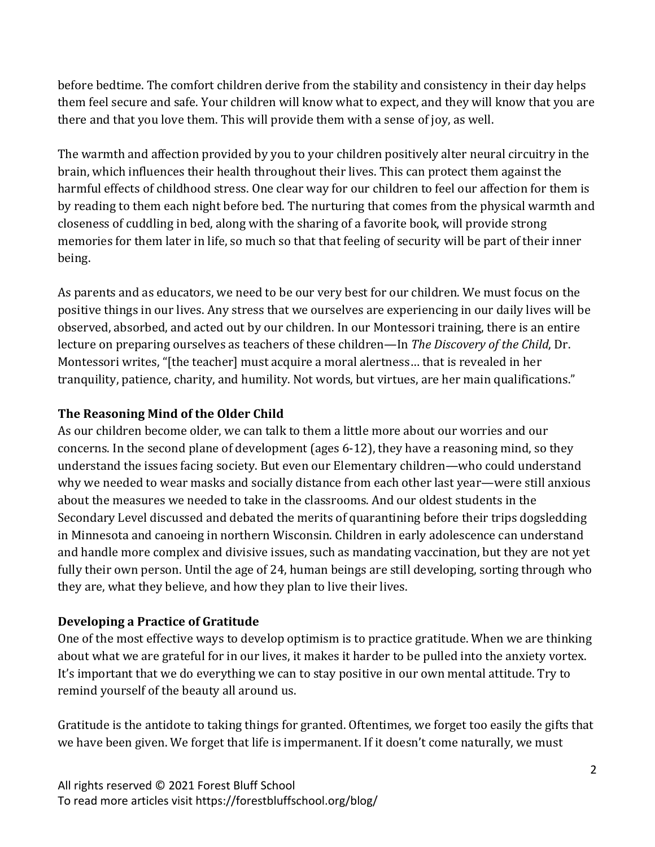before bedtime. The comfort children derive from the stability and consistency in their day helps them feel secure and safe. Your children will know what to expect, and they will know that you are there and that you love them. This will provide them with a sense of joy, as well.

The warmth and affection provided by you to your children positively alter neural circuitry in the brain, which influences their health throughout their lives. This can protect them against the harmful effects of childhood stress. One clear way for our children to feel our affection for them is by reading to them each night before bed. The nurturing that comes from the physical warmth and closeness of cuddling in bed, along with the sharing of a favorite book, will provide strong memories for them later in life, so much so that that feeling of security will be part of their inner being. 

As parents and as educators, we need to be our very best for our children. We must focus on the positive things in our lives. Any stress that we ourselves are experiencing in our daily lives will be observed, absorbed, and acted out by our children. In our Montessori training, there is an entire lecture on preparing ourselves as teachers of these children—In *The Discovery of the Child*, Dr. Montessori writes, "[the teacher] must acquire a moral alertness... that is revealed in her tranquility, patience, charity, and humility. Not words, but virtues, are her main qualifications."

# **The Reasoning Mind of the Older Child**

As our children become older, we can talk to them a little more about our worries and our concerns. In the second plane of development (ages  $6-12$ ), they have a reasoning mind, so they understand the issues facing society. But even our Elementary children—who could understand why we needed to wear masks and socially distance from each other last year—were still anxious about the measures we needed to take in the classrooms. And our oldest students in the Secondary Level discussed and debated the merits of quarantining before their trips dogsledding in Minnesota and canoeing in northern Wisconsin. Children in early adolescence can understand and handle more complex and divisive issues, such as mandating vaccination, but they are not yet fully their own person. Until the age of 24, human beings are still developing, sorting through who they are, what they believe, and how they plan to live their lives.

# **Developing a Practice of Gratitude**

One of the most effective ways to develop optimism is to practice gratitude. When we are thinking about what we are grateful for in our lives, it makes it harder to be pulled into the anxiety vortex. It's important that we do everything we can to stay positive in our own mental attitude. Try to remind yourself of the beauty all around us.

Gratitude is the antidote to taking things for granted. Oftentimes, we forget too easily the gifts that we have been given. We forget that life is impermanent. If it doesn't come naturally, we must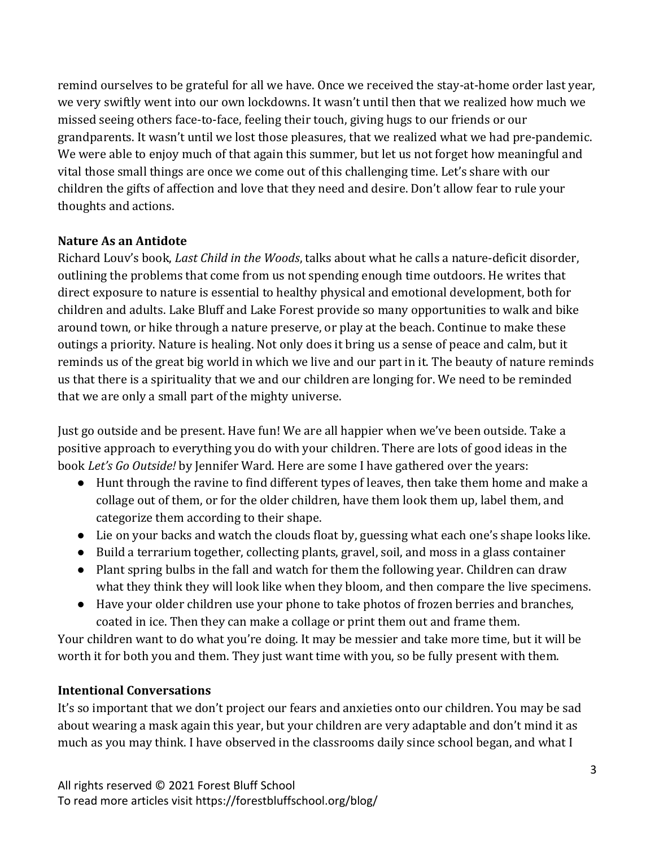remind ourselves to be grateful for all we have. Once we received the stay-at-home order last year, we very swiftly went into our own lockdowns. It wasn't until then that we realized how much we missed seeing others face-to-face, feeling their touch, giving hugs to our friends or our grandparents. It wasn't until we lost those pleasures, that we realized what we had pre-pandemic. We were able to enjoy much of that again this summer, but let us not forget how meaningful and vital those small things are once we come out of this challenging time. Let's share with our children the gifts of affection and love that they need and desire. Don't allow fear to rule your thoughts and actions.

## **Nature As an Antidote**

Richard Louv's book, *Last Child in the Woods*, talks about what he calls a nature-deficit disorder, outlining the problems that come from us not spending enough time outdoors. He writes that direct exposure to nature is essential to healthy physical and emotional development, both for children and adults. Lake Bluff and Lake Forest provide so many opportunities to walk and bike around town, or hike through a nature preserve, or play at the beach. Continue to make these outings a priority. Nature is healing. Not only does it bring us a sense of peace and calm, but it reminds us of the great big world in which we live and our part in it. The beauty of nature reminds us that there is a spirituality that we and our children are longing for. We need to be reminded that we are only a small part of the mighty universe.

Just go outside and be present. Have fun! We are all happier when we've been outside. Take a positive approach to everything you do with your children. There are lots of good ideas in the book *Let's Go Outside!* by Jennifer Ward. Here are some I have gathered over the years:

- Hunt through the ravine to find different types of leaves, then take them home and make a collage out of them, or for the older children, have them look them up, label them, and categorize them according to their shape.
- Lie on your backs and watch the clouds float by, guessing what each one's shape looks like.
- Build a terrarium together, collecting plants, gravel, soil, and moss in a glass container
- Plant spring bulbs in the fall and watch for them the following year. Children can draw what they think they will look like when they bloom, and then compare the live specimens.
- Have your older children use your phone to take photos of frozen berries and branches, coated in ice. Then they can make a collage or print them out and frame them.

Your children want to do what you're doing. It may be messier and take more time, but it will be worth it for both you and them. They just want time with you, so be fully present with them.

## **Intentional Conversations**

It's so important that we don't project our fears and anxieties onto our children. You may be sad about wearing a mask again this year, but your children are very adaptable and don't mind it as much as you may think. I have observed in the classrooms daily since school began, and what I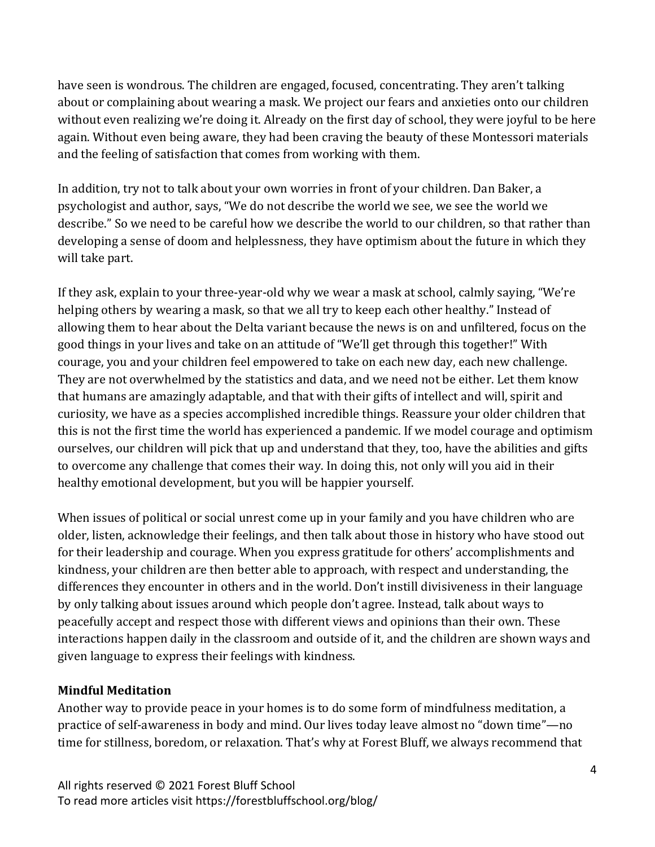have seen is wondrous. The children are engaged, focused, concentrating. They aren't talking about or complaining about wearing a mask. We project our fears and anxieties onto our children without even realizing we're doing it. Already on the first day of school, they were joyful to be here again. Without even being aware, they had been craving the beauty of these Montessori materials and the feeling of satisfaction that comes from working with them.

In addition, try not to talk about your own worries in front of your children. Dan Baker, a psychologist and author, says, "We do not describe the world we see, we see the world we describe." So we need to be careful how we describe the world to our children, so that rather than developing a sense of doom and helplessness, they have optimism about the future in which they will take part.

If they ask, explain to your three-year-old why we wear a mask at school, calmly saying, "We're helping others by wearing a mask, so that we all try to keep each other healthy." Instead of allowing them to hear about the Delta variant because the news is on and unfiltered, focus on the good things in your lives and take on an attitude of "We'll get through this together!" With courage, you and your children feel empowered to take on each new day, each new challenge. They are not overwhelmed by the statistics and data, and we need not be either. Let them know that humans are amazingly adaptable, and that with their gifts of intellect and will, spirit and curiosity, we have as a species accomplished incredible things. Reassure your older children that this is not the first time the world has experienced a pandemic. If we model courage and optimism ourselves, our children will pick that up and understand that they, too, have the abilities and gifts to overcome any challenge that comes their way. In doing this, not only will you aid in their healthy emotional development, but you will be happier yourself.

When issues of political or social unrest come up in your family and you have children who are older, listen, acknowledge their feelings, and then talk about those in history who have stood out for their leadership and courage. When you express gratitude for others' accomplishments and kindness, your children are then better able to approach, with respect and understanding, the differences they encounter in others and in the world. Don't instill divisiveness in their language by only talking about issues around which people don't agree. Instead, talk about ways to peacefully accept and respect those with different views and opinions than their own. These interactions happen daily in the classroom and outside of it, and the children are shown ways and given language to express their feelings with kindness.

## **Mindful Meditation**

Another way to provide peace in your homes is to do some form of mindfulness meditation, a practice of self-awareness in body and mind. Our lives today leave almost no "down time"—no time for stillness, boredom, or relaxation. That's why at Forest Bluff, we always recommend that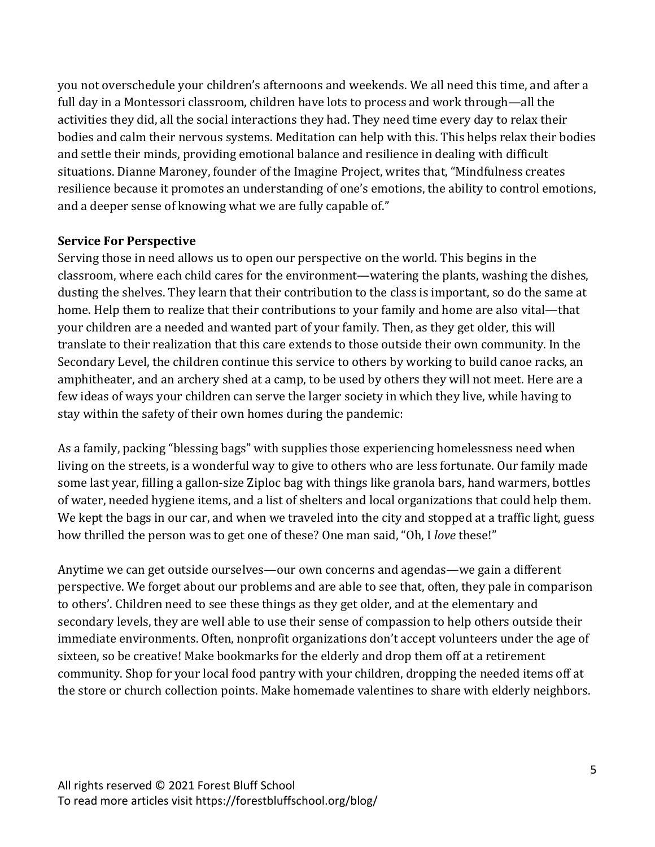you not overschedule your children's afternoons and weekends. We all need this time, and after a full day in a Montessori classroom, children have lots to process and work through—all the activities they did, all the social interactions they had. They need time every day to relax their bodies and calm their nervous systems. Meditation can help with this. This helps relax their bodies and settle their minds, providing emotional balance and resilience in dealing with difficult situations. Dianne Maroney, founder of the Imagine Project, writes that, "Mindfulness creates resilience because it promotes an understanding of one's emotions, the ability to control emotions, and a deeper sense of knowing what we are fully capable of."

#### **Service For Perspective**

Serving those in need allows us to open our perspective on the world. This begins in the classroom, where each child cares for the environment—watering the plants, washing the dishes, dusting the shelves. They learn that their contribution to the class is important, so do the same at home. Help them to realize that their contributions to your family and home are also vital—that your children are a needed and wanted part of your family. Then, as they get older, this will translate to their realization that this care extends to those outside their own community. In the Secondary Level, the children continue this service to others by working to build canoe racks, an amphitheater, and an archery shed at a camp, to be used by others they will not meet. Here are a few ideas of ways your children can serve the larger society in which they live, while having to stay within the safety of their own homes during the pandemic:

As a family, packing "blessing bags" with supplies those experiencing homelessness need when living on the streets, is a wonderful way to give to others who are less fortunate. Our family made some last year, filling a gallon-size Ziploc bag with things like granola bars, hand warmers, bottles of water, needed hygiene items, and a list of shelters and local organizations that could help them. We kept the bags in our car, and when we traveled into the city and stopped at a traffic light, guess how thrilled the person was to get one of these? One man said, "Oh, I love these!"

Anytime we can get outside ourselves—our own concerns and agendas—we gain a different perspective. We forget about our problems and are able to see that, often, they pale in comparison to others'. Children need to see these things as they get older, and at the elementary and secondary levels, they are well able to use their sense of compassion to help others outside their immediate environments. Often, nonprofit organizations don't accept volunteers under the age of sixteen, so be creative! Make bookmarks for the elderly and drop them off at a retirement community. Shop for your local food pantry with your children, dropping the needed items off at the store or church collection points. Make homemade valentines to share with elderly neighbors.